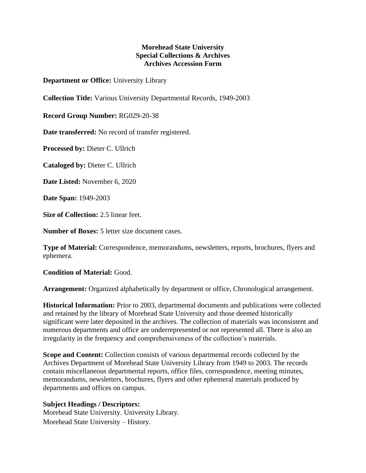## **Morehead State University Special Collections & Archives Archives Accession Form**

**Department or Office:** University Library

**Collection Title:** Various University Departmental Records, 1949-2003

**Record Group Number:** RG029-20-38

**Date transferred:** No record of transfer registered.

**Processed by:** Dieter C. Ullrich

**Cataloged by:** Dieter C. Ullrich

**Date Listed:** November 6, 2020

**Date Span:** 1949-2003

**Size of Collection:** 2.5 linear feet.

**Number of Boxes:** 5 letter size document cases.

**Type of Material:** Correspondence, memorandums, newsletters, reports, brochures, flyers and ephemera.

**Condition of Material:** Good.

**Arrangement:** Organized alphabetically by department or office, Chronological arrangement.

**Historical Information:** Prior to 2003, departmental documents and publications were collected and retained by the library of Morehead State University and those deemed historically significant were later deposited in the archives. The collection of materials was inconsistent and numerous departments and office are underrepresented or not represented all. There is also an irregularity in the frequency and comprehensiveness of the collection's materials.

**Scope and Content:** Collection consists of various departmental records collected by the Archives Department of Morehead State University Library from 1949 to 2003. The records contain miscellaneous departmental reports, office files, correspondence, meeting minutes, memorandums, newsletters, brochures, flyers and other ephemeral materials produced by departments and offices on campus.

## **Subject Headings / Descriptors:**

Morehead State University. University Library. Morehead State University – History.